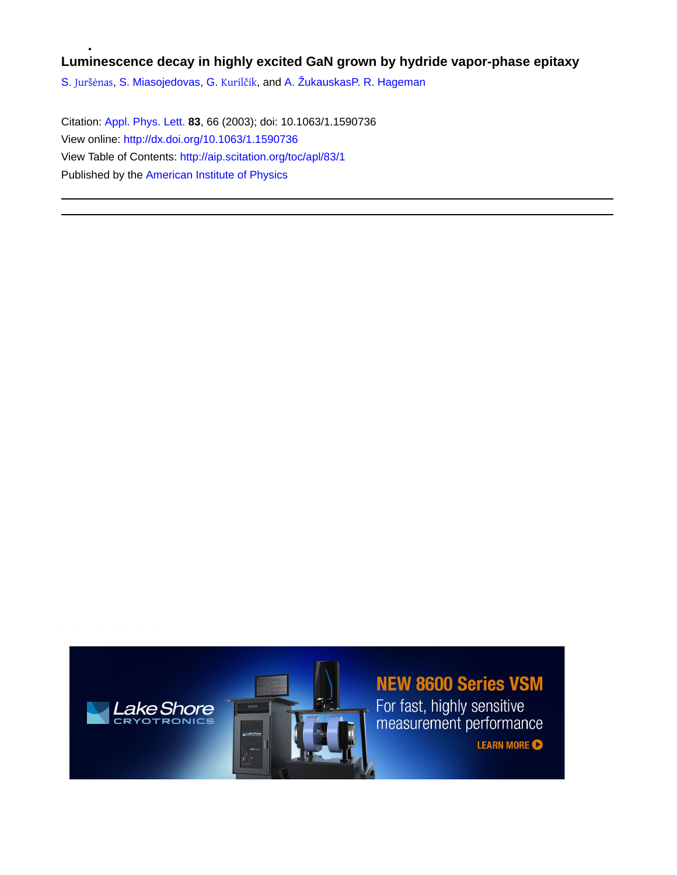## **Luminescence decay in highly excited GaN grown by hydride vapor-phase epitaxy**

S. [Juršėnas](http://aip.scitation.org/author/Jur%C5%A1%C4%97nas%2C+S), [S. Miasojedovas](http://aip.scitation.org/author/Miasojedovas%2C+S), G. [Kurilčik](http://aip.scitation.org/author/Kuril%C4%8Dik%2C+G), and [A. Žukauskas](http://aip.scitation.org/author/%C5%BDukauskas%2C+A)[P. R. Hageman](http://aip.scitation.org/author/Hageman%2C+P+R)

Citation: [Appl. Phys. Lett.](/loi/apl) **83**, 66 (2003); doi: 10.1063/1.1590736 View online: <http://dx.doi.org/10.1063/1.1590736> View Table of Contents: <http://aip.scitation.org/toc/apl/83/1> Published by the [American Institute of Physics](http://aip.scitation.org/publisher/)



## **NEW 8600 Series VSM**

For fast, highly sensitive<br>measurement performance

**LEARN MORE**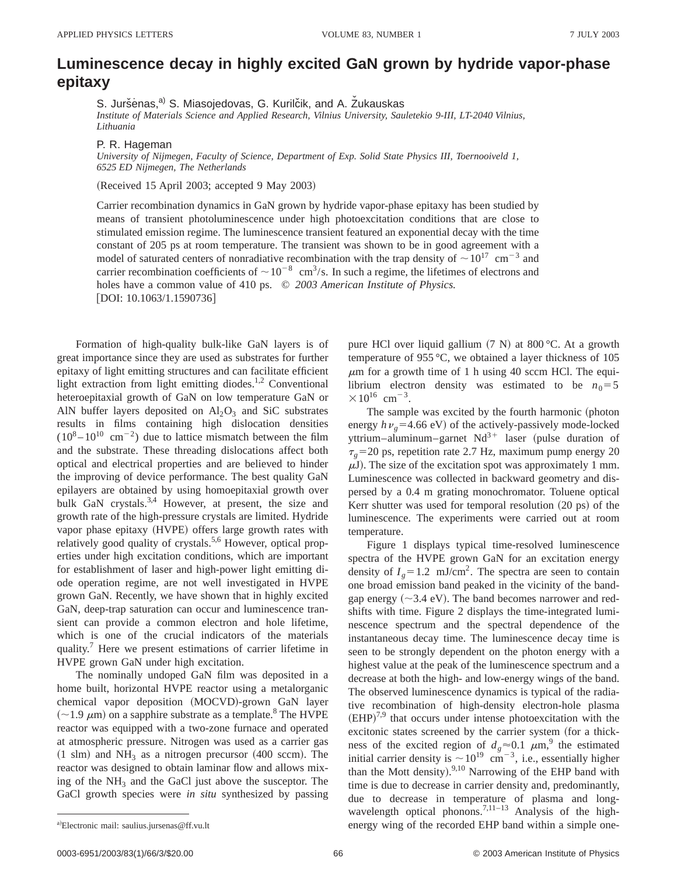## **Luminescence decay in highly excited GaN grown by hydride vapor-phase epitaxy**

S. Juršėnas,<sup>a)</sup> S. Miasojedovas, G. Kurilčik, and A. Žukauskas

*Institute of Materials Science and Applied Research, Vilnius University, Sauletekio 9-III, LT-2040 Vilnius, Lithuania*

P. R. Hageman

*University of Nijmegen, Faculty of Science, Department of Exp. Solid State Physics III, Toernooiveld 1, 6525 ED Nijmegen, The Netherlands*

 $(Received 15 April 2003; accepted 9 May 2003)$ 

Carrier recombination dynamics in GaN grown by hydride vapor-phase epitaxy has been studied by means of transient photoluminescence under high photoexcitation conditions that are close to stimulated emission regime. The luminescence transient featured an exponential decay with the time constant of 205 ps at room temperature. The transient was shown to be in good agreement with a model of saturated centers of nonradiative recombination with the trap density of  $\sim 10^{17}$  cm<sup>-3</sup> and carrier recombination coefficients of  $\sim 10^{-8}$  cm<sup>3</sup>/s. In such a regime, the lifetimes of electrons and holes have a common value of 410 ps. © *2003 American Institute of Physics.* [DOI: 10.1063/1.1590736]

Formation of high-quality bulk-like GaN layers is of great importance since they are used as substrates for further epitaxy of light emitting structures and can facilitate efficient light extraction from light emitting diodes.<sup>1,2</sup> Conventional heteroepitaxial growth of GaN on low temperature GaN or AlN buffer layers deposited on  $Al_2O_3$  and SiC substrates results in films containing high dislocation densities  $(10^8 - 10^{10} \text{ cm}^{-2})$  due to lattice mismatch between the film and the substrate. These threading dislocations affect both optical and electrical properties and are believed to hinder the improving of device performance. The best quality GaN epilayers are obtained by using homoepitaxial growth over bulk GaN crystals.<sup>3,4</sup> However, at present, the size and growth rate of the high-pressure crystals are limited. Hydride vapor phase epitaxy (HVPE) offers large growth rates with relatively good quality of crystals.<sup>5,6</sup> However, optical properties under high excitation conditions, which are important for establishment of laser and high-power light emitting diode operation regime, are not well investigated in HVPE grown GaN. Recently, we have shown that in highly excited GaN, deep-trap saturation can occur and luminescence transient can provide a common electron and hole lifetime, which is one of the crucial indicators of the materials quality.<sup>7</sup> Here we present estimations of carrier lifetime in HVPE grown GaN under high excitation.

The nominally undoped GaN film was deposited in a home built, horizontal HVPE reactor using a metalorganic chemical vapor deposition (MOCVD)-grown GaN layer  $(-1.9 \mu m)$  on a sapphire substrate as a template.<sup>8</sup> The HVPE reactor was equipped with a two-zone furnace and operated at atmospheric pressure. Nitrogen was used as a carrier gas  $(1 \text{ s/m})$  and NH<sub>3</sub> as a nitrogen precursor  $(400 \text{ scm})$ . The reactor was designed to obtain laminar flow and allows mixing of the  $NH_3$  and the GaCl just above the susceptor. The GaCl growth species were *in situ* synthesized by passing pure HCl over liquid gallium  $(7 \text{ N})$  at 800 °C. At a growth temperature of 955 °C, we obtained a layer thickness of 105  $\mu$ m for a growth time of 1 h using 40 sccm HCl. The equilibrium electron density was estimated to be  $n_0=5$  $\times 10^{16}$  cm<sup>-3</sup>.

The sample was excited by the fourth harmonic (photon energy  $h\nu<sub>g</sub>=4.66$  eV) of the actively-passively mode-locked yttrium–aluminum–garnet  $Nd^{3+}$  laser (pulse duration of  $\tau<sub>g</sub>=20$  ps, repetition rate 2.7 Hz, maximum pump energy 20  $\mu$ J). The size of the excitation spot was approximately 1 mm. Luminescence was collected in backward geometry and dispersed by a 0.4 m grating monochromator. Toluene optical Kerr shutter was used for temporal resolution  $(20 \text{ ps})$  of the luminescence. The experiments were carried out at room temperature.

Figure 1 displays typical time-resolved luminescence spectra of the HVPE grown GaN for an excitation energy density of  $I_g = 1.2$  mJ/cm<sup>2</sup>. The spectra are seen to contain one broad emission band peaked in the vicinity of the bandgap energy  $(\sim 3.4 \text{ eV})$ . The band becomes narrower and redshifts with time. Figure 2 displays the time-integrated luminescence spectrum and the spectral dependence of the instantaneous decay time. The luminescence decay time is seen to be strongly dependent on the photon energy with a highest value at the peak of the luminescence spectrum and a decrease at both the high- and low-energy wings of the band. The observed luminescence dynamics is typical of the radiative recombination of high-density electron-hole plasma  $(EHP)^{7,9}$  that occurs under intense photoexcitation with the excitonic states screened by the carrier system (for a thickness of the excited region of  $d_g \approx 0.1 \mu m$ ,<sup>9</sup> the estimated initial carrier density is  $\sim 10^{19}$  cm<sup>-3</sup>, i.e., essentially higher than the Mott density). $9,10$  Narrowing of the EHP band with time is due to decrease in carrier density and, predominantly, due to decrease in temperature of plasma and longwavelength optical phonons.<sup>7,11-13</sup> Analysis of the highenergy wing of the recorded EHP band within a simple one-

0003-6951/2003/83(1)/66/3/\$20.00 66 66 66 69 69 69 69 69 69 69 69 69 69 69 69 69 69 69 69 69 69 69 69 69 69 69 69

a)Electronic mail: saulius.jursenas@ff.vu.lt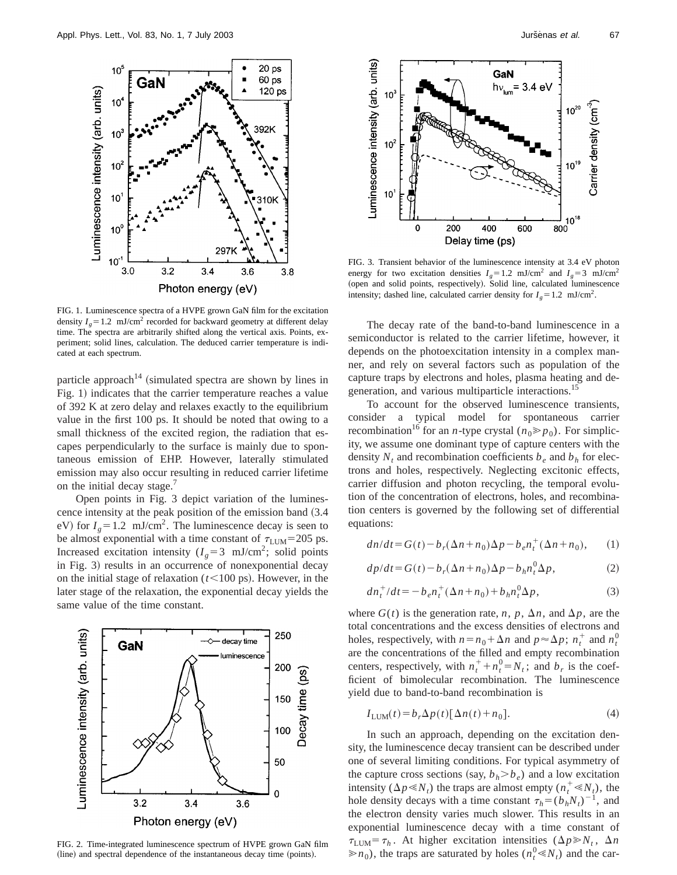

FIG. 1. Luminescence spectra of a HVPE grown GaN film for the excitation density  $I_g$ =1.2 mJ/cm<sup>2</sup> recorded for backward geometry at different delay time. The spectra are arbitrarily shifted along the vertical axis. Points, experiment; solid lines, calculation. The deduced carrier temperature is indicated at each spectrum.

particle approach<sup>14</sup> (simulated spectra are shown by lines in Fig. 1) indicates that the carrier temperature reaches a value of 392 K at zero delay and relaxes exactly to the equilibrium value in the first 100 ps. It should be noted that owing to a small thickness of the excited region, the radiation that escapes perpendicularly to the surface is mainly due to spontaneous emission of EHP. However, laterally stimulated emission may also occur resulting in reduced carrier lifetime on the initial decay stage.<sup>7</sup>

Open points in Fig. 3 depict variation of the luminescence intensity at the peak position of the emission band  $(3.4)$ eV) for  $I<sub>g</sub>=1.2$  mJ/cm<sup>2</sup>. The luminescence decay is seen to be almost exponential with a time constant of  $\tau_{\text{LUM}}$ =205 ps. Increased excitation intensity ( $I<sub>g</sub>=3$  mJ/cm<sup>2</sup>; solid points in Fig. 3) results in an occurrence of nonexponential decay on the initial stage of relaxation  $(t<100 \text{ ps})$ . However, in the later stage of the relaxation, the exponential decay yields the same value of the time constant.



FIG. 2. Time-integrated luminescence spectrum of HVPE grown GaN film (line) and spectral dependence of the instantaneous decay time (points).



FIG. 3. Transient behavior of the luminescence intensity at 3.4 eV photon energy for two excitation densities  $I<sub>g</sub>=1.2$  mJ/cm<sup>2</sup> and  $I<sub>g</sub>=3$  mJ/cm<sup>2</sup> (open and solid points, respectively). Solid line, calculated luminescence intensity; dashed line, calculated carrier density for  $I<sub>g</sub>=1.2$  mJ/cm<sup>2</sup>.

The decay rate of the band-to-band luminescence in a semiconductor is related to the carrier lifetime, however, it depends on the photoexcitation intensity in a complex manner, and rely on several factors such as population of the capture traps by electrons and holes, plasma heating and degeneration, and various multiparticle interactions.15

To account for the observed luminescence transients, consider a typical model for spontaneous carrier recombination<sup>16</sup> for an *n*-type crystal ( $n_0 \ge p_0$ ). For simplicity, we assume one dominant type of capture centers with the density  $N_t$  and recombination coefficients  $b_e$  and  $b_h$  for electrons and holes, respectively. Neglecting excitonic effects, carrier diffusion and photon recycling, the temporal evolution of the concentration of electrons, holes, and recombination centers is governed by the following set of differential equations:

$$
dn/dt = G(t) - b_r(\Delta n + n_0)\Delta p - b_e n_t^+(\Delta n + n_0), \qquad (1)
$$

$$
dp/dt = G(t) - b_r(\Delta n + n_0)\Delta p - b_h n_t^0 \Delta p, \qquad (2)
$$

$$
dn_t^+/dt = -b_e n_t^+(\Delta n + n_0) + b_h n_t^0 \Delta p, \qquad (3)
$$

where  $G(t)$  is the generation rate, *n*, *p*,  $\Delta n$ , and  $\Delta p$ , are the total concentrations and the excess densities of electrons and holes, respectively, with  $n = n_0 + \Delta n$  and  $p \approx \Delta p$ ;  $n_t^+$  and  $n_t^0$ are the concentrations of the filled and empty recombination centers, respectively, with  $n_t^+ + n_t^0 = N_t$ ; and  $b_r$  is the coefficient of bimolecular recombination. The luminescence yield due to band-to-band recombination is

$$
I_{\text{LUM}}(t) = b_r \Delta p(t) [\Delta n(t) + n_0]. \tag{4}
$$

In such an approach, depending on the excitation density, the luminescence decay transient can be described under one of several limiting conditions. For typical asymmetry of the capture cross sections (say,  $b_h > b_e$ ) and a low excitation intensity ( $\Delta p \ll N_t$ ) the traps are almost empty ( $n_t^+ \ll N_t$ ), the hole density decays with a time constant  $\tau_h = (b_h N_t)^{-1}$ , and the electron density varies much slower. This results in an exponential luminescence decay with a time constant of  $\tau_{\text{LUM}} = \tau_h$ . At higher excitation intensities ( $\Delta p \gg N_t$ ,  $\Delta n$  $\gg n_0$ ), the traps are saturated by holes ( $n_t^0 \ll N_t$ ) and the car